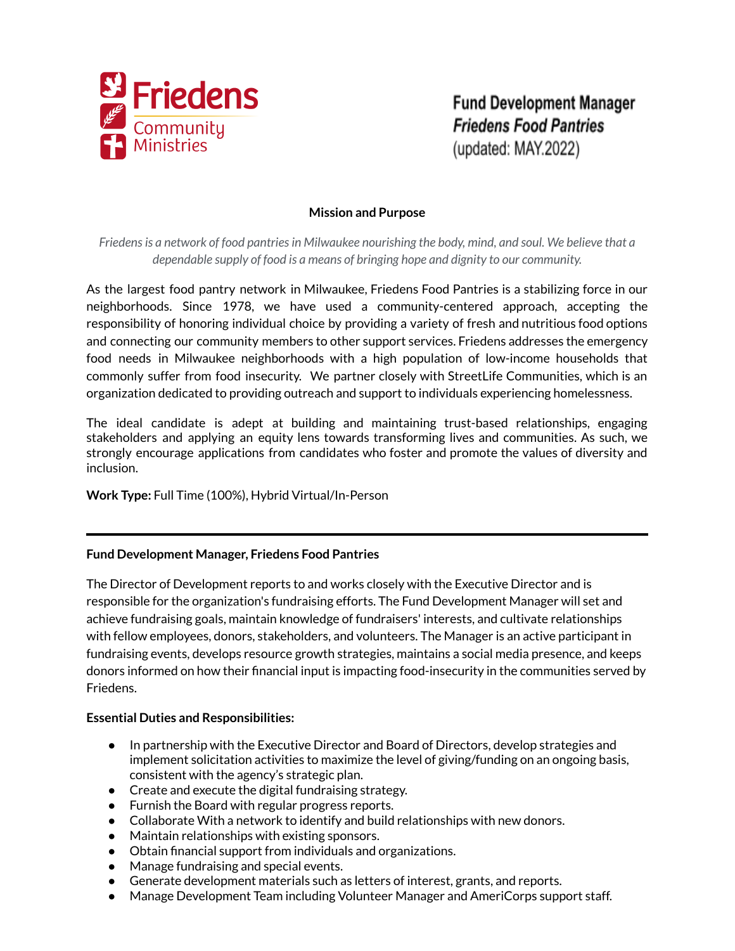

**Fund Development Manager Friedens Food Pantries** (updated: MAY.2022)

# **Mission and Purpose**

*Friedensis a network of food pantriesin Milwaukee nourishing the body, mind, and soul. We believe that a dependable supply of food is a means of bringing hope and dignity to our community.*

As the largest food pantry network in Milwaukee, Friedens Food Pantries is a stabilizing force in our neighborhoods. Since 1978, we have used a community-centered approach, accepting the responsibility of honoring individual choice by providing a variety of fresh and nutritious food options and connecting our community members to other support services. Friedens addresses the emergency food needs in Milwaukee neighborhoods with a high population of low-income households that commonly suffer from food insecurity. We partner closely with StreetLife Communities, which is an organization dedicated to providing outreach and support to individuals experiencing homelessness.

The ideal candidate is adept at building and maintaining trust-based relationships, engaging stakeholders and applying an equity lens towards transforming lives and communities. As such, we strongly encourage applications from candidates who foster and promote the values of diversity and inclusion.

# **Work Type:** Full Time (100%), Hybrid Virtual/In-Person

# **Fund Development Manager, Friedens Food Pantries**

The Director of Development reports to and works closely with the Executive Director and is responsible for the organization's fundraising efforts. The Fund Development Manager will set and achieve fundraising goals, maintain knowledge of fundraisers' interests, and cultivate relationships with fellow employees, donors, stakeholders, and volunteers. The Manager is an active participant in fundraising events, develops resource growth strategies, maintains a social media presence, and keeps donors informed on how their financial input is impacting food-insecurity in the communities served by Friedens.

### **Essential Duties and Responsibilities:**

- In partnership with the Executive Director and Board of Directors, develop strategies and implement solicitation activities to maximize the level of giving/funding on an ongoing basis, consistent with the agency's strategic plan.
- Create and execute the digital fundraising strategy.
- Furnish the Board with regular progress reports.
- Collaborate With a network to identify and build relationships with new donors.
- Maintain relationships with existing sponsors.
- Obtain financial support from individuals and organizations.
- Manage fundraising and special events.
- Generate development materials such as letters of interest, grants, and reports.
- Manage Development Team including Volunteer Manager and AmeriCorps support staff.